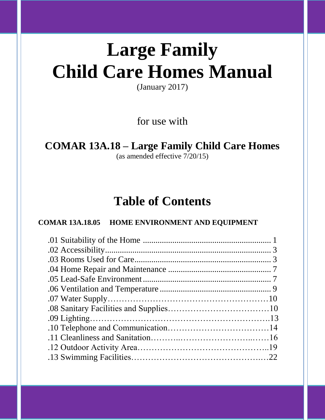# **Large Family Child Care Homes Manual**

(January 2017)

for use with

# **COMAR 13A.18 – Large Family Child Care Homes**

(as amended effective 7/20/15)

# **Table of Contents**

# **COMAR 13A.18.05 HOME ENVIRONMENT AND EQUIPMENT**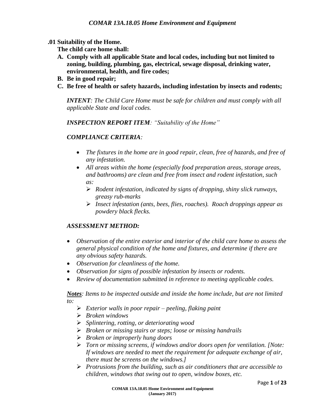#### **.01 Suitability of the Home.**

**The child care home shall:**

- **A. Comply with all applicable State and local codes, including but not limited to zoning, building, plumbing, gas, electrical, sewage disposal, drinking water, environmental, health, and fire codes;**
- **B. Be in good repair;**
- **C. Be free of health or safety hazards, including infestation by insects and rodents;**

*INTENT: The Child Care Home must be safe for children and must comply with all applicable State and local codes.*

*INSPECTION REPORT ITEM: "Suitability of the Home"*

## *COMPLIANCE CRITERIA:*

- The fixtures in the home are in good repair, clean, free of hazards, and free of *any infestation.*
- *All areas within the home (especially food preparation areas, storage areas, and bathrooms) are clean and free from insect and rodent infestation, such as:*
	- *Rodent infestation, indicated by signs of dropping, shiny slick runways, greasy rub-marks*
	- *Insect infestation (ants, bees, flies, roaches). Roach droppings appear as powdery black flecks.*

#### *ASSESSMENT METHOD:*

- *Observation of the entire exterior and interior of the child care home to assess the general physical condition of the home and fixtures, and determine if there are any obvious safety hazards.*
- *Observation for cleanliness of the home.*
- *Observation for signs of possible infestation by insects or rodents.*
- *Review of documentation submitted in reference to meeting applicable codes.*

*Notes: Items to be inspected outside and inside the home include, but are not limited to:*

- *Exterior walls in poor repair – peeling, flaking paint*
- *Broken windows*
- *Splintering, rotting, or deteriorating wood*
- *Broken or missing stairs or steps; loose or missing handrails*
- *Broken or improperly hung doors*
- *Torn or missing screens, if windows and/or doors open for ventilation. [Note: If windows are needed to meet the requirement for adequate exchange of air, there must be screens on the windows.]*
- *Protrusions from the building, such as air conditioners that are accessible to children, windows that swing out to open, window boxes, etc.*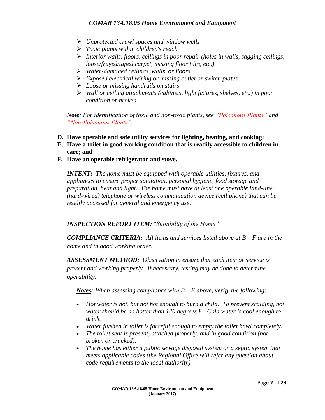- *Unprotected crawl spaces and window wells*
- *Toxic plants within children's reach*
- *Interior walls, floors, ceilings in poor repair (holes in walls, sagging ceilings, loose/frayed/taped carpet, missing floor tiles, etc.)*
- *Water-damaged ceilings, walls, or floors*
- *Exposed electrical wiring or missing outlet or switch plates*
- *Loose or missing handrails on stairs*
- *Wall or ceiling attachments (cabinets, light fixtures, shelves, etc.) in poor condition or broken*

*Note: For identification of toxic and non-toxic plants, see "Poisonous Plants" and "Non-Poisonous Plants".*

- **D. Have operable and safe utility services for lighting, heating, and cooking;**
- **E. Have a toilet in good working condition that is readily accessible to children in care; and**
- **F. Have an operable refrigerator and stove.**

*INTENT: The home must be equipped with operable utilities, fixtures, and appliances to ensure proper sanitation, personal hygiene, food storage and preparation, heat and light. The home must have at least one operable land-line (hard-wired) telephone or wireless communication device (cell phone) that can be readily accessed for general and emergency use.*

#### *INSPECTION REPORT ITEM:"Suitability of the Home"*

*COMPLIANCE CRITERIA: All items and services listed above at B – F are in the home and in good working order.*

*ASSESSMENT METHOD: Observation to ensure that each item or service is present and working properly. If necessary, testing may be done to determine operability.*

*Notes: When assessing compliance with B – F above, verify the following:*

- *Hot water is hot, but not hot enough to burn a child. To prevent scalding, hot water should be no hotter than 120 degrees F. Cold water is cool enough to drink.*
- *Water flushed in toilet is forceful enough to empty the toilet bowl completely.*
- *The toilet seat is present, attached properly, and in good condition (not broken or cracked).*
- *The home has either a public sewage disposal system or a septic system that meets applicable codes (the Regional Office will refer any question about code requirements to the local authority).*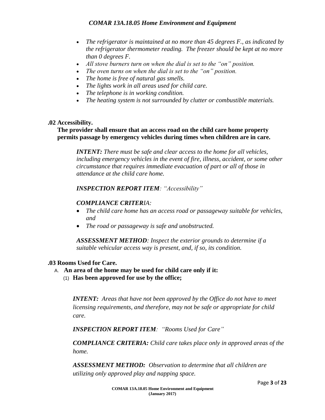- *The refrigerator is maintained at no more than 45 degrees F., as indicated by the refrigerator thermometer reading. The freezer should be kept at no more than 0 degrees F.*
- *All stove burners turn on when the dial is set to the "on" position.*
- *The oven turns on when the dial is set to the "on" position.*
- *The home is free of natural gas smells.*
- *The lights work in all areas used for child care.*
- *The telephone is in working condition.*
- *The heating system is not surrounded by clutter or combustible materials.*

## **.02 Accessibility.**

# **The provider shall ensure that an access road on the child care home property permits passage by emergency vehicles during times when children are in care.**

*INTENT: There must be safe and clear access to the home for all vehicles, including emergency vehicles in the event of fire, illness, accident, or some other circumstance that requires immediate evacuation of part or all of those in attendance at the child care home.*

# *INSPECTION REPORT ITEM: "Accessibility"*

# *COMPLIANCE CRITERIA:*

- *The child care home has an access road or passageway suitable for vehicles, and*
- *The road or passageway is safe and unobstructed.*

*ASSESSMENT METHOD: Inspect the exterior grounds to determine if a suitable vehicular access way is present, and, if so, its condition.*

#### **.03 Rooms Used for Care.**

- A. **An area of the home may be used for child care only if it:**
	- (1) **Has been approved for use by the office;**

*INTENT: Areas that have not been approved by the Office do not have to meet licensing requirements, and therefore, may not be safe or appropriate for child care.*

*INSPECTION REPORT ITEM: "Rooms Used for Care"*

*COMPLIANCE CRITERIA: Child care takes place only in approved areas of the home.*

*ASSESSMENT METHOD: Observation to determine that all children are utilizing only approved play and napping space.*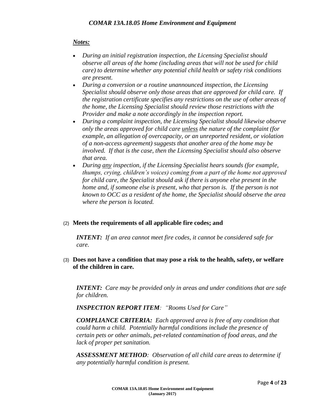# *Notes:*

- *During an initial registration inspection, the Licensing Specialist should observe all areas of the home (including areas that will not be used for child care) to determine whether any potential child health or safety risk conditions are present.*
- *During a conversion or a routine unannounced inspection, the Licensing Specialist should observe only those areas that are approved for child care. If the registration certificate specifies any restrictions on the use of other areas of the home, the Licensing Specialist should review those restrictions with the Provider and make a note accordingly in the inspection report.*
- *During a complaint inspection, the Licensing Specialist should likewise observe only the areas approved for child care unless the nature of the complaint (for example, an allegation of overcapacity, or an unreported resident, or violation of a non-access agreement) suggests that another area of the home may be involved. If that is the case, then the Licensing Specialist should also observe that area.*
- *During any inspection, if the Licensing Specialist hears sounds (for example, thumps, crying, children's voices) coming from a part of the home not approved for child care, the Specialist should ask if there is anyone else present in the home and, if someone else is present, who that person is. If the person is not known to OCC as a resident of the home, the Specialist should observe the area where the person is located.*

# (2) **Meets the requirements of all applicable fire codes; and**

*INTENT: If an area cannot meet fire codes, it cannot be considered safe for care.*

## (3) **Does not have a condition that may pose a risk to the health, safety, or welfare of the children in care.**

*INTENT: Care may be provided only in areas and under conditions that are safe for children.*

*INSPECTION REPORT ITEM: "Rooms Used for Care"*

*COMPLIANCE CRITERIA: Each approved area is free of any condition that could harm a child. Potentially harmful conditions include the presence of certain pets or other animals, pet-related contamination of food areas, and the lack of proper pet sanitation.*

*ASSESSMENT METHOD: Observation of all child care areas to determine if any potentially harmful condition is present.*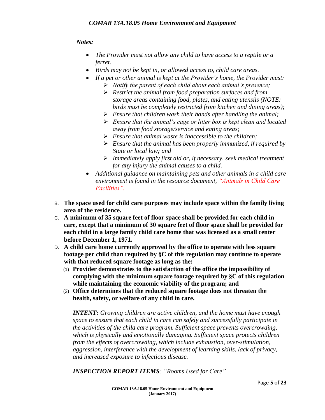# *Notes:*

- *The Provider must not allow any child to have access to a reptile or a ferret.*
- *Birds may not be kept in, or allowed access to, child care areas.*
- *If a pet or other animal is kept at the Provider's home, the Provider must:*
	- *Notify the parent of each child about each animal's presence;*
	- *Restrict the animal from food preparation surfaces and from storage areas containing food, plates, and eating utensils (NOTE: birds must be completely restricted from kitchen and dining areas);*
	- *Ensure that children wash their hands after handling the animal;*
	- *Ensure that the animal's cage or litter box is kept clean and located away from food storage/service and eating areas;*
	- *Ensure that animal waste is inaccessible to the children;*
	- *Ensure that the animal has been properly immunized, if required by State or local law; and*
	- *Immediately apply first aid or, if necessary, seek medical treatment for any injury the animal causes to a child.*
- *Additional guidance on maintaining pets and other animals in a child care environment is found in the resource document, "Animals in Child Care Facilities".*
- B. **The space used for child care purposes may include space within the family living area of the residence.**
- C. **A minimum of 35 square feet of floor space shall be provided for each child in care, except that a minimum of 30 square feet of floor space shall be provided for each child in a large family child care home that was licensed as a small center before December 1, 1971.**
- D. **A child care home currently approved by the office to operate with less square footage per child than required by §C of this regulation may continue to operate with that reduced square footage as long as the:**
	- (1) **Provider demonstrates to the satisfaction of the office the impossibility of complying with the minimum square footage required by §C of this regulation while maintaining the economic viability of the program; and**
	- (2) **Office determines that the reduced square footage does not threaten the health, safety, or welfare of any child in care.**

*INTENT: Growing children are active children, and the home must have enough space to ensure that each child in care can safely and successfully participate in the activities of the child care program. Sufficient space prevents overcrowding, which is physically and emotionally damaging. Sufficient space protects children from the effects of overcrowding, which include exhaustion, over-stimulation, aggression, interference with the development of learning skills, lack of privacy, and increased exposure to infectious disease.*

*INSPECTION REPORT ITEMS: "Rooms Used for Care"*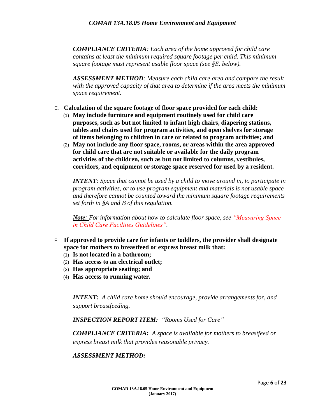*COMPLIANCE CRITERIA: Each area of the home approved for child care contains at least the minimum required square footage per child. This minimum square footage must represent usable floor space (see §E. below).*

*ASSESSMENT METHOD: Measure each child care area and compare the result with the approved capacity of that area to determine if the area meets the minimum space requirement.*

- E. **Calculation of the square footage of floor space provided for each child:**
	- (1) **May include furniture and equipment routinely used for child care purposes, such as but not limited to infant high chairs, diapering stations, tables and chairs used for program activities, and open shelves for storage of items belonging to children in care or related to program activities; and**
	- (2) **May not include any floor space, rooms, or areas within the area approved for child care that are not suitable or available for the daily program activities of the children, such as but not limited to columns, vestibules, corridors, and equipment or storage space reserved for used by a resident.**

*INTENT: Space that cannot be used by a child to move around in, to participate in program activities, or to use program equipment and materials is not usable space and therefore cannot be counted toward the minimum square footage requirements set forth in §A and B of this regulation.*

*Note: For information about how to calculate floor space, see "Measuring Space in Child Care Facilities Guidelines".*

- F. **If approved to provide care for infants or toddlers, the provider shall designate space for mothers to breastfeed or express breast milk that:**
	- (1) **Is not located in a bathroom;**
	- (2) **Has access to an electrical outlet;**
	- (3) **Has appropriate seating; and**
	- (4) **Has access to running water.**

*INTENT: A child care home should encourage, provide arrangements for, and support breastfeeding.*

*INSPECTION REPORT ITEM: "Rooms Used for Care"*

*COMPLIANCE CRITERIA: A space is available for mothers to breastfeed or express breast milk that provides reasonable privacy.*

#### *ASSESSMENT METHOD:*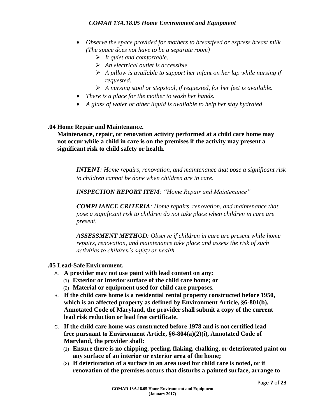- *Observe the space provided for mothers to breastfeed or express breast milk. (The space does not have to be a separate room)*
	- *It quiet and comfortable.*
	- *An electrical outlet is accessible*
	- *A pillow is available to support her infant on her lap while nursing if requested.*
	- *A nursing stool or stepstool, if requested, for her feet is available.*
- *There is a place for the mother to wash her hands.*
- *A glass of water or other liquid is available to help her stay hydrated*

#### **.04 Home Repair and Maintenance.**

**Maintenance, repair, or renovation activity performed at a child care home may not occur while a child in care is on the premises if the activity may present a significant risk to child safety or health.**

*INTENT: Home repairs, renovation, and maintenance that pose a significant risk to children cannot be done when children are in care.*

*INSPECTION REPORT ITEM: "Home Repair and Maintenance"*

*COMPLIANCE CRITERIA: Home repairs, renovation, and maintenance that pose a significant risk to children do not take place when children in care are present.*

*ASSESSMENT METHOD: Observe if children in care are present while home repairs, renovation, and maintenance take place and assess the risk of such activities to children's safety or health.*

#### **.05 Lead-SafeEnvironment.**

- A. **A provider may not use paint with lead content on any:**
	- (1) **Exterior or interior surface of the child care home; or**
	- (2) **Material or equipment used for child care purposes.**
- B. **If the child care home is a residential rental property constructed before 1950, which is an affected property as defined by Environment Article, §6-801(b), Annotated Code of Maryland, the provider shall submit a copy of the current lead risk reduction or lead free certificate.**
- C. **If the child care home was constructed before 1978 and is not certified lead free pursuant to Environment Article, §6-804(a)(2)(i), Annotated Code of Maryland, the provider shall:**
	- (1) **Ensure there is no chipping, peeling, flaking, chalking, or deteriorated paint on any surface of an interior or exterior area of the home;**
	- (2) **If deterioration of a surface in an area used for child care is noted, or if renovation of the premises occurs that disturbs a painted surface, arrange to**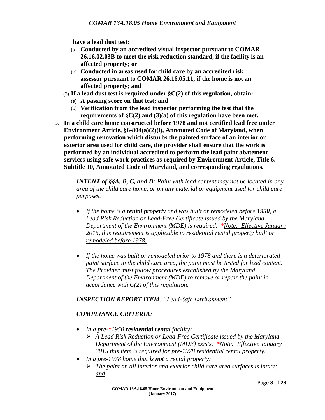**have a lead dust test:**

- (a) **Conducted by an accredited visual inspector pursuant to COMAR 26.16.02.03B to meet the risk reduction standard, if the facility is an affected property; or**
- (b) **Conducted in areas used for child care by an accredited risk assessor pursuant to COMAR 26.16.05.11, if the home is not an affected property; and**
- (3) **If a lead dust test is required under §C(2) of this regulation, obtain:**
	- (a) **A passing score on that test; and**
	- (b) **Verification from the lead inspector performing the test that the requirements of §C(2) and (3)(a) of this regulation have been met.**
- D. **In a child care home constructed before 1978 and not certified lead free under Environment Article, §6-804(a)(2)(i), Annotated Code of Maryland, when performing renovation which disturbs the painted surface of an interior or exterior area used for child care, the provider shall ensure that the work is performed by an individual accredited to perform the lead paint abatement services using safe work practices as required by Environment Article, Title 6, Subtitle 10, Annotated Code of Maryland, and corresponding regulations.**

*INTENT of §§A, B, C, and D: Paint with lead content may not be located in any area of the child care home, or on any material or equipment used for child care purposes.* 

- *If the home is a rental property and was built or remodeled before 1950, a Lead Risk Reduction or Lead-Free Certificate issued by the Maryland Department of the Environment (MDE) is required. \*Note: Effective January 2015, this requirement is applicable to residential rental property built or remodeled before 1978.*
- *If the home was built or remodeled prior to 1978 and there is a deteriorated paint surface in the child care area, the paint must be tested for lead content. The Provider must follow procedures established by the Maryland Department of the Environment (MDE) to remove or repair the paint in accordance with C(2) of this regulation.*

#### *INSPECTION REPORT ITEM: "Lead-Safe Environment"*

# *COMPLIANCE CRITERIA:*

- *In a pre-\*1950 residential rental facility:*
	- *A Lead Risk Reduction or Lead-Free Certificate issued by the Maryland Department of the Environment (MDE) exists. \*Note: Effective January 2015 this item is required for pre-1978 residential rental property.*
- *In a pre-1978 home that is not a rental property:*
	- *The paint on all interior and exterior child care area surfaces is intact; and*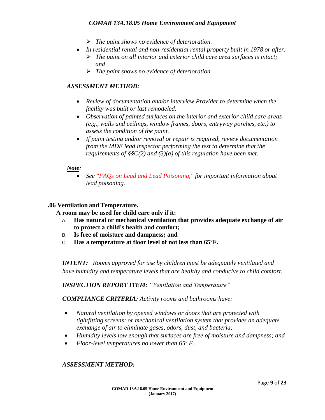- *The paint shows no evidence of deterioration.*
- *In residential rental and non-residential rental property built in 1978 or after:*
	- *The paint on all interior and exterior child care area surfaces is intact; and*
	- *The paint shows no evidence of deterioration.*

## *ASSESSMENT METHOD:*

- *Review of documentation and/or interview Provider to determine when the facility was built or last remodeled.*
- *Observation of painted surfaces on the interior and exterior child care areas (e.g., walls and ceilings, window frames, doors, entryway porches, etc.) to assess the condition of the paint.*
- *If paint testing and/or removal or repair is required, review documentation from the MDE lead inspector performing the test to determine that the requirements of §§C(2) and (3)(a) of this regulation have been met.*

#### *Note:*

 *See "FAQs on Lead and Lead Poisoning," for important information about lead poisoning.*

#### **.06 Ventilation and Temperature.**

**A room may be used for child care only if it:**

- A. **Has natural or mechanical ventilation that provides adequate exchange of air to protect a child's health and comfort;**
- B. **Is free of moisture and dampness; and**
- C. **Has a temperature at floor level of not less than 65°F.**

*INTENT: Rooms approved for use by children must be adequately ventilated and have humidity and temperature levels that are healthy and conducive to child comfort.* 

*INSPECTION REPORT ITEM: "Ventilation and Temperature"* 

*COMPLIANCE CRITERIA: Activity rooms and bathrooms have:* 

- *Natural ventilation by opened windows or doors that are protected with tightfitting screens; or mechanical ventilation system that provides an adequate exchange of air to eliminate gases, odors, dust, and bacteria;*
- *Humidity levels low enough that surfaces are free of moisture and dampness; and*
- *Floor-level temperatures no lower than 65º F.*

#### *ASSESSMENT METHOD:*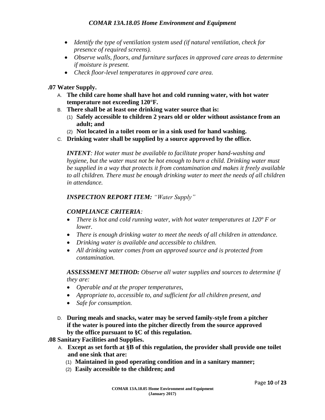- *Identify the type of ventilation system used (if natural ventilation, check for presence of required screens).*
- *Observe walls, floors, and furniture surfaces in approved care areas to determine if moisture is present.*
- *Check floor-level temperatures in approved care area.*

#### **.07 Water Supply.**

- A. **The child care home shall have hot and cold running water, with hot water temperature not exceeding 120°F.**
- B. **There shall be at least one drinking water source that is:**
	- (1) **Safely accessible to children 2 years old or older without assistance from an adult; and**
	- (2) **Not located in a toilet room or in a sink used for hand washing.**
- C. **Drinking water shall be supplied by a source approved by the office.**

*INTENT: Hot water must be available to facilitate proper hand-washing and hygiene, but the water must not be hot enough to burn a child. Drinking water must be supplied in a way that protects it from contamination and makes it freely available to all children. There must be enough drinking water to meet the needs of all children in attendance.*

#### *INSPECTION REPORT ITEM: "Water Supply"*

#### *COMPLIANCE CRITERIA:*

- *There is hot and cold running water, with hot water temperatures at 120º F or lower.*
- *There is enough drinking water to meet the needs of all children in attendance.*
- *Drinking water is available and accessible to children.*
- *All drinking water comes from an approved source and is protected from contamination.*

*ASSESSMENT METHOD: Observe all water supplies and sources to determine if they are:*

- *Operable and at the proper temperatures,*
- *Appropriate to, accessible to, and sufficient for all children present, and*
- *Safe for consumption.*
- D. **During meals and snacks, water may be served family-style from a pitcher if the water is poured into the pitcher directly from the source approved by the office pursuant to §C of this regulation.**

**.08 Sanitary Facilities and Supplies.**

- A. **Except as set forth at §B of this regulation, the provider shall provide one toilet and one sink that are:**
	- (1) **Maintained in good operating condition and in a sanitary manner;**
	- (2) **Easily accessible to the children; and**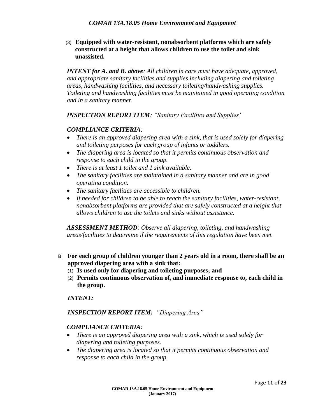(3) **Equipped with water-resistant, nonabsorbent platforms which are safely constructed at a height that allows children to use the toilet and sink unassisted.**

*INTENT for A. and B. above: All children in care must have adequate, approved, and appropriate sanitary facilities and supplies including diapering and toileting areas, handwashing facilities, and necessary toileting/handwashing supplies. Toileting and handwashing facilities must be maintained in good operating condition and in a sanitary manner.*

*INSPECTION REPORT ITEM: "Sanitary Facilities and Supplies"*

#### *COMPLIANCE CRITERIA:*

- *There is an approved diapering area with a sink, that is used solely for diapering and toileting purposes for each group of infants or toddlers.*
- *The diapering area is located so that it permits continuous observation and response to each child in the group.*
- *There is at least 1 toilet and 1 sink available.*
- *The sanitary facilities are maintained in a sanitary manner and are in good operating condition.*
- *The sanitary facilities are accessible to children.*
- *If needed for children to be able to reach the sanitary facilities, water-resistant, nonabsorbent platforms are provided that are safely constructed at a height that allows children to use the toilets and sinks without assistance.*

*ASSESSMENT METHOD: Observe all diapering, toileting, and handwashing areas/facilities to determine if the requirements of this regulation have been met.*

- B. **For each group of children younger than 2 years old in a room, there shall be an approved diapering area with a sink that:**
	- (1) **Is used only for diapering and toileting purposes; and**
	- (2) **Permits continuous observation of, and immediate response to, each child in the group.**

#### *INTENT:*

*INSPECTION REPORT ITEM: "Diapering Area"*

#### *COMPLIANCE CRITERIA:*

- *There is an approved diapering area with a sink, which is used solely for diapering and toileting purposes.*
- *The diapering area is located so that it permits continuous observation and response to each child in the group.*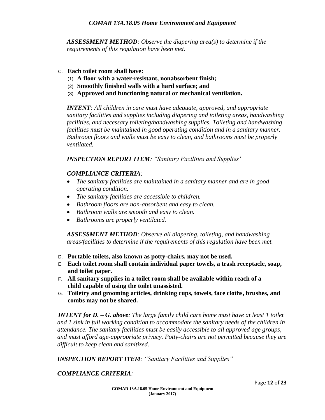*ASSESSMENT METHOD: Observe the diapering area(s) to determine if the requirements of this regulation have been met.*

#### C. **Each toilet room shall have:**

- (1) **A floor with a water-resistant, nonabsorbent finish;**
- (2) **Smoothly finished walls with a hard surface; and**
- (3) **Approved and functioning natural or mechanical ventilation.**

*INTENT: All children in care must have adequate, approved, and appropriate sanitary facilities and supplies including diapering and toileting areas, handwashing facilities, and necessary toileting/handwashing supplies. Toileting and handwashing facilities must be maintained in good operating condition and in a sanitary manner. Bathroom floors and walls must be easy to clean, and bathrooms must be properly ventilated.*

*INSPECTION REPORT ITEM: "Sanitary Facilities and Supplies"*

#### *COMPLIANCE CRITERIA:*

- *The sanitary facilities are maintained in a sanitary manner and are in good operating condition.*
- *The sanitary facilities are accessible to children.*
- *Bathroom floors are non-absorbent and easy to clean.*
- *Bathroom walls are smooth and easy to clean.*
- *Bathrooms are properly ventilated.*

*ASSESSMENT METHOD: Observe all diapering, toileting, and handwashing areas/facilities to determine if the requirements of this regulation have been met.*

- D. **Portable toilets, also known as potty-chairs, may not be used.**
- E. **Each toilet room shall contain individual paper towels, a trash receptacle, soap, and toilet paper.**
- F. **All sanitary supplies in a toilet room shall be available within reach of a child capable of using the toilet unassisted.**
- G. **Toiletry and grooming articles, drinking cups, towels, face cloths, brushes, and combs may not be shared.**

*INTENT for D. – G. above: The large family child care home must have at least 1 toilet and 1 sink in full working condition to accommodate the sanitary needs of the children in attendance. The sanitary facilities must be easily accessible to all approved age groups, and must afford age-appropriate privacy. Potty-chairs are not permitted because they are difficult to keep clean and sanitized.*

*INSPECTION REPORT ITEM: "Sanitary Facilities and Supplies"*

*COMPLIANCE CRITERIA:*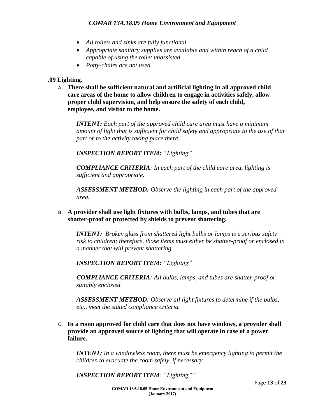- *All toilets and sinks are fully functional.*
- *Appropriate sanitary supplies are available and within reach of a child capable of using the toilet unassisted.*
- *Potty-chairs are not used.*

#### **.09 Lighting.**

A. **There shall be sufficient natural and artificial lighting in all approved child care areas of the home to allow children to engage in activities safely, allow proper child supervision, and help ensure the safety of each child, employee, and visitor to the home.**

*INTENT: Each part of the approved child care area must have a minimum amount of light that is sufficient for child safety and appropriate to the use of that part or to the activity taking place there.*

*INSPECTION REPORT ITEM: "Lighting"*

*COMPLIANCE CRITERIA: In each part of the child care area, lighting is sufficient and appropriate.*

*ASSESSMENT METHOD: Observe the lighting in each part of the approved area.*

B. **A provider shall use light fixtures with bulbs, lamps, and tubes that are shatter-proof or protected by shields to prevent shattering.**

*INTENT: Broken glass from shattered light bulbs or lamps is a serious safety risk to children; therefore, those items must either be shatter-proof or enclosed in a manner that will prevent shattering.*

*INSPECTION REPORT ITEM: "Lighting"*

*COMPLIANCE CRITERIA: All bulbs, lamps, and tubes are shatter-proof or suitably enclosed.*

*ASSESSMENT METHOD: Observe all light fixtures to determine if the bulbs, etc., meet the stated compliance criteria.*

C. **In a room approved for child care that does not have windows, a provider shall provide an approved source of lighting that will operate in case of a power failure.**

*INTENT: In a windowless room, there must be emergency lighting to permit the children to evacuate the room safely, if necessary.*

*INSPECTION REPORT ITEM: "Lighting""*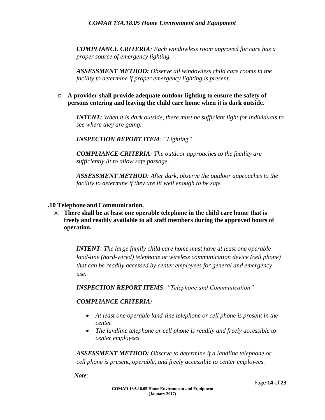*COMPLIANCE CRITERIA: Each windowless room approved for care has a proper source of emergency lighting.*

*ASSESSMENT METHOD: Observe all windowless child care rooms in the facility to determine if proper emergency lighting is present.*

D. **A provider shall provide adequate outdoor lighting to ensure the safety of persons entering and leaving the child care home when it is dark outside.**

*INTENT: When it is dark outside, there must be sufficient light for individuals to see where they are going.*

*INSPECTION REPORT ITEM: "Lighting"*

*COMPLIANCE CRITERIA: The outdoor approaches to the facility are sufficiently lit to allow safe passage.*

*ASSESSMENT METHOD: After dark, observe the outdoor approaches to the facility to determine if they are lit well enough to be safe.*

#### **.10 Telephone and Communication.**

A. **There shall be at least one operable telephone in the child care home that is freely and readily available to all staff members during the approved hours of operation.**

*INTENT: The large family child care home must have at least one operable land-line (hard-wired) telephone or wireless communication device (cell phone) that can be readily accessed by center employees for general and emergency use.* 

*INSPECTION REPORT ITEMS: "Telephone and Communication"* 

#### *COMPLIANCE CRITERIA:*

- *At least one operable land-line telephone or cell phone is present in the center.*
- *The landline telephone or cell phone is readily and freely accessible to center employees.*

*ASSESSMENT METHOD: Observe to determine if a landline telephone or cell phone is present, operable, and freely accessible to center employees.* 

*Note:*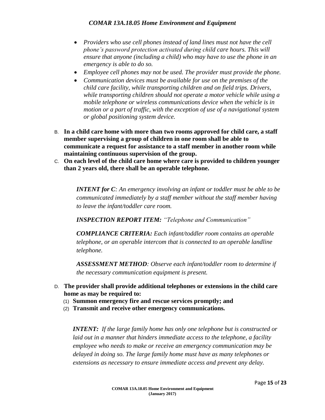- *Providers who use cell phones instead of land lines must not have the cell phone's password protection activated during child care hours. This will ensure that anyone (including a child) who may have to use the phone in an emergency is able to do so.*
- *Employee cell phones may not be used. The provider must provide the phone.*
- *Communication devices must be available for use on the premises of the child care facility, while transporting children and on field trips. Drivers, while transporting children should not operate a motor vehicle while using a mobile telephone or wireless communications device when the vehicle is in motion or a part of traffic, with the exception of use of a navigational system or global positioning system device.*
- B. **In a child care home with more than two rooms approved for child care, a staff member supervising a group of children in one room shall be able to communicate a request for assistance to a staff member in another room while maintaining continuous supervision of the group.**
- C. **On each level of the child care home where care is provided to children younger than 2 years old, there shall be an operable telephone.**

*INTENT for C: An emergency involving an infant or toddler must be able to be communicated immediately by a staff member without the staff member having to leave the infant/toddler care room.* 

*INSPECTION REPORT ITEM: "Telephone and Communication"* 

*COMPLIANCE CRITERIA: Each infant/toddler room contains an operable telephone, or an operable intercom that is connected to an operable landline telephone.* 

*ASSESSMENT METHOD: Observe each infant/toddler room to determine if the necessary communication equipment is present.*

- D. **The provider shall provide additional telephones or extensions in the child care home as may be required to:**
	- (1) **Summon emergency fire and rescue services promptly; and**
	- (2) **Transmit and receive other emergency communications.**

*INTENT: If the large family home has only one telephone but is constructed or laid out in a manner that hinders immediate access to the telephone, a facility employee who needs to make or receive an emergency communication may be delayed in doing so. The large family home must have as many telephones or extensions as necessary to ensure immediate access and prevent any delay.*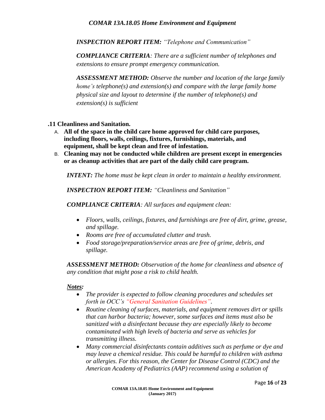*INSPECTION REPORT ITEM: "Telephone and Communication"* 

*COMPLIANCE CRITERIA: There are a sufficient number of telephones and extensions to ensure prompt emergency communication.* 

*ASSESSMENT METHOD: Observe the number and location of the large family home's telephone(s) and extension(s) and compare with the large family home physical size and layout to determine if the number of telephone(s) and extension(s) is sufficient*

- **.11 Cleanliness and Sanitation.**
	- A. **All of the space in the child care home approved for child care purposes, including floors, walls, ceilings, fixtures, furnishings, materials, and equipment, shall be kept clean and free of infestation.**
	- B. **Cleaning may not be conducted while children are present except in emergencies or as cleanup activities that are part of the daily child care program.**

*INTENT: The home must be kept clean in order to maintain a healthy environment.* 

*INSPECTION REPORT ITEM: "Cleanliness and Sanitation"*

*COMPLIANCE CRITERIA: All surfaces and equipment clean:*

- *Floors, walls, ceilings, fixtures, and furnishings are free of dirt, grime, grease, and spillage.*
- *Rooms are free of accumulated clutter and trash.*
- *Food storage/preparation/service areas are free of grime, debris, and spillage.*

*ASSESSMENT METHOD: Observation of the home for cleanliness and absence of any condition that might pose a risk to child health.*

#### *Notes:*

- *The provider is expected to follow cleaning procedures and schedules set forth in OCC's "General Sanitation Guidelines".*
- *Routine cleaning of surfaces, materials, and equipment removes dirt or spills that can harbor bacteria; however, some surfaces and items must also be sanitized with a disinfectant because they are especially likely to become contaminated with high levels of bacteria and serve as vehicles for transmitting illness.*
- *Many commercial disinfectants contain additives such as perfume or dye and may leave a chemical residue. This could be harmful to children with asthma or allergies. For this reason, the Center for Disease Control (CDC) and the American Academy of Pediatrics (AAP) recommend using a solution of*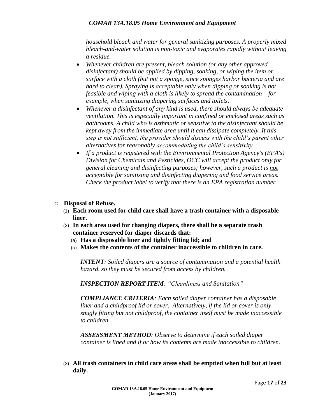*household bleach and water for general sanitizing purposes. A properly mixed bleach-and-water solution is non-toxic and evaporates rapidly without leaving a residue.*

- *Whenever children are present, bleach solution (or any other approved disinfectant) should be applied by dipping, soaking, or wiping the item or surface with a cloth (but not a sponge, since sponges harbor bacteria and are hard to clean). Spraying is acceptable only when dipping or soaking is not feasible and wiping with a cloth is likely to spread the contamination – for example, when sanitizing diapering surfaces and toilets.*
- *Whenever a disinfectant of any kind is used, there should always be adequate ventilation. This is especially important in confined or enclosed areas such as bathrooms. A child who is asthmatic or sensitive to the disinfectant should be kept away from the immediate area until it can dissipate completely. If this step is not sufficient, the provider should discuss with the child's parent other alternatives for reasonably accommodating the child's sensitivity.*
- *If a product is registered with the Environmental Protection Agency's (EPA's) Division for Chemicals and Pesticides, OCC will accept the product only for general cleaning and disinfecting purposes; however, such a product is not acceptable for sanitizing and disinfecting diapering and food service areas. Check the product label to verify that there is an EPA registration number.*
- C. **Disposal of Refuse.**
	- (1) **Each room used for child care shall have a trash container with a disposable liner.**
	- (2) **In each area used for changing diapers, there shall be a separate trash container reserved for diaper discards that:**
		- (a) **Has a disposable liner and tightly fitting lid; and**
		- (b) **Makes the contents of the container inaccessible to children in care.**

*INTENT: Soiled diapers are a source of contamination and a potential health hazard, so they must be secured from access by children.*

*INSPECTION REPORT ITEM: "Cleanliness and Sanitation"*

*COMPLIANCE CRITERIA: Each soiled diaper container has a disposable liner and a childproof lid or cover. Alternatively, if the lid or cover is only snugly fitting but not childproof, the container itself must be made inaccessible to children.* 

*ASSESSMENT METHOD: Observe to determine if each soiled diaper container is lined and if or how its contents are made inaccessible to children.*

(3) **All trash containers in child care areas shall be emptied when full but at least daily.**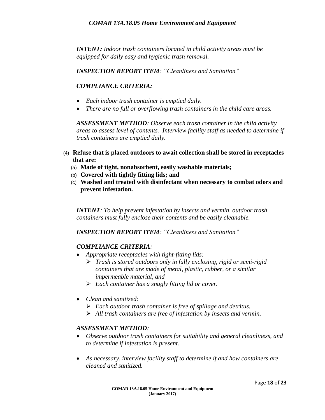*INTENT: Indoor trash containers located in child activity areas must be equipped for daily easy and hygienic trash removal.*

*INSPECTION REPORT ITEM: "Cleanliness and Sanitation"*

# *COMPLIANCE CRITERIA:*

- *Each indoor trash container is emptied daily.*
- *There are no full or overflowing trash containers in the child care areas.*

*ASSESSMENT METHOD: Observe each trash container in the child activity areas to assess level of contents. Interview facility staff as needed to determine if trash containers are emptied daily.*

- (4) **Refuse that is placed outdoors to await collection shall be stored in receptacles that are:**
	- (a) **Made of tight, nonabsorbent, easily washable materials;**
	- (b) **Covered with tightly fitting lids; and**
	- (c) **Washed and treated with disinfectant when necessary to combat odors and prevent infestation.**

*INTENT: To help prevent infestation by insects and vermin, outdoor trash containers must fully enclose their contents and be easily cleanable.*

*INSPECTION REPORT ITEM: "Cleanliness and Sanitation"*

#### *COMPLIANCE CRITERIA:*

- *Appropriate receptacles with tight-fitting lids:*
	- *Trash is stored outdoors only in fully enclosing, rigid or semi-rigid containers that are made of metal, plastic, rubber, or a similar impermeable material, and*
	- *Each container has a snugly fitting lid or cover.*
- *Clean and sanitized:*
	- *Each outdoor trash container is free of spillage and detritus.*
	- *All trash containers are free of infestation by insects and vermin.*

#### *ASSESSMENT METHOD:*

- *Observe outdoor trash containers for suitability and general cleanliness, and to determine if infestation is present.*
- *As necessary, interview facility staff to determine if and how containers are cleaned and sanitized.*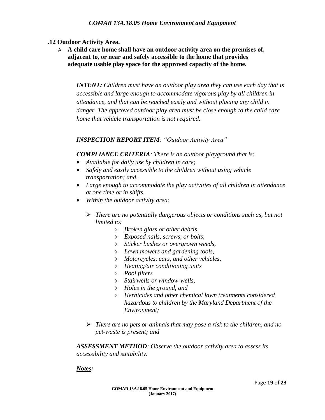# **.12 Outdoor Activity Area.**

A. **A child care home shall have an outdoor activity area on the premises of, adjacent to, or near and safely accessible to the home that provides adequate usable play space for the approved capacity of the home.**

*INTENT: Children must have an outdoor play area they can use each day that is accessible and large enough to accommodate vigorous play by all children in attendance, and that can be reached easily and without placing any child in danger. The approved outdoor play area must be close enough to the child care home that vehicle transportation is not required.* 

## *INSPECTION REPORT ITEM: "Outdoor Activity Area"*

## *COMPLIANCE CRITERIA: There is an outdoor playground that is:*

- *Available for daily use by children in care;*
- *Safely and easily accessible to the children without using vehicle transportation; and,*
- *Large enough to accommodate the play activities of all children in attendance at one time or in shifts.*
- *Within the outdoor activity area:*
	- *There are no potentially dangerous objects or conditions such as, but not limited to:*
		- *Broken glass or other debris,*
		- *Exposed nails, screws, or bolts,*
		- *Sticker bushes or overgrown weeds,*
		- *Lawn mowers and gardening tools,*
		- *Motorcycles, cars, and other vehicles,*
		- *Heating/air conditioning units*
		- *Pool filters*
		- *Stairwells or window-wells,*
		- *Holes in the ground, and*
		- *Herbicides and other chemical lawn treatments considered hazardous to children by the Maryland Department of the Environment;*
	- *There are no pets or animals that may pose a risk to the children, and no pet-waste is present; and*

*ASSESSMENT METHOD: Observe the outdoor activity area to assess its accessibility and suitability.*

#### *Notes:*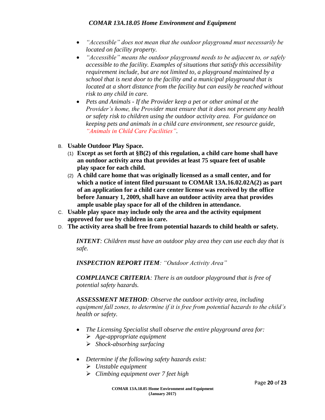- *"Accessible" does not mean that the outdoor playground must necessarily be located on facility property.*
- *"Accessible" means the outdoor playground needs to be adjacent to, or safely accessible to the facility. Examples of situations that satisfy this accessibility requirement include, but are not limited to, a playground maintained by a school that is next door to the facility and a municipal playground that is located at a short distance from the facility but can easily be reached without risk to any child in care.*
- *Pets and Animals - If the Provider keep a pet or other animal at the Provider's home, the Provider must ensure that it does not present any health or safety risk to children using the outdoor activity area. For guidance on keeping pets and animals in a child care environment, see resource guide, "Animals in Child Care Facilities".*
- B. **Usable Outdoor Play Space.**
	- (1) **Except as set forth at §B(2) of this regulation, a child care home shall have an outdoor activity area that provides at least 75 square feet of usable play space for each child.**
	- (2) **A child care home that was originally licensed as a small center, and for which a notice of intent filed pursuant to COMAR 13A.16.02.02A(2) as part of an application for a child care center license was received by the office before January 1, 2009, shall have an outdoor activity area that provides ample usable play space for all of the children in attendance.**
- C. **Usable play space may include only the area and the activity equipment approved for use by children in care.**
- D. **The activity area shall be free from potential hazards to child health or safety.**

*INTENT: Children must have an outdoor play area they can use each day that is safe.* 

*INSPECTION REPORT ITEM: "Outdoor Activity Area"*

*COMPLIANCE CRITERIA: There is an outdoor playground that is free of potential safety hazards.*

*ASSESSMENT METHOD: Observe the outdoor activity area, including equipment fall zones, to determine if it is free from potential hazards to the child's health or safety.*

- *The Licensing Specialist shall observe the entire playground area for:*
	- *Age-appropriate equipment*
	- *Shock-absorbing surfacing*
- *Determine if the following safety hazards exist:*
	- *Unstable equipment*
	- *Climbing equipment over 7 feet high*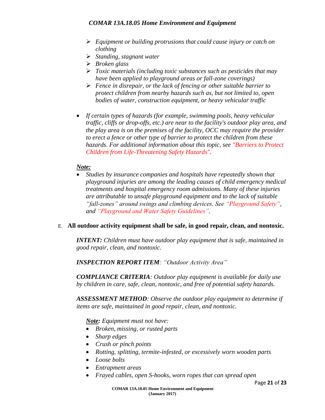- *Equipment or building protrusions that could cause injury or catch on clothing*
- *Standing, stagnant water*
- *Broken glass*
- *Toxic materials (including toxic substances such as pesticides that may have been applied to playground areas or fall-zone coverings)*
- *Fence in disrepair, or the lack of fencing or other suitable barrier to protect children from nearby hazards such as, but not limited to, open bodies of water, construction equipment, or heavy vehicular traffic*
- *If certain types of hazards (for example, swimming pools, heavy vehicular traffic, cliffs or drop-offs, etc.) are near to the facility's outdoor play area, and the play area is on the premises of the facility, OCC may require the provider to erect a fence or other type of barrier to protect the children from these hazards. For additional information about this topic, see "Barriers to Protect Children from Life-Threatening Safety Hazards".*

# *Note:*

 *Studies by insurance companies and hospitals have repeatedly shown that playground injuries are among the leading causes of child emergency medical treatments and hospital emergency room admissions. Many of these injuries are attributable to unsafe playground equipment and to the lack of suitable "fall-zones" around swings and climbing devices. See "Playground Safety", and "Playground and Water Safety Guidelines".*

# E. **All outdoor activity equipment shall be safe, in good repair, clean, and nontoxic.**

*INTENT: Children must have outdoor play equipment that is safe, maintained in good repair, clean, and nontoxic.*

# *INSPECTION REPORT ITEM: "Outdoor Activity Area"*

*COMPLIANCE CRITERIA: Outdoor play equipment is available for daily use by children in care, safe, clean, nontoxic, and free of potential safety hazards.*

*ASSESSMENT METHOD: Observe the outdoor play equipment to determine if items are safe, maintained in good repair, clean, and nontoxic.*

*Note: Equipment must not have:*

- *Broken, missing, or rusted parts*
- *Sharp edges*
- *Crush or pinch points*
- *Rotting, splitting, termite-infested, or excessively worn wooden parts*
- *Loose bolts*
- *Entrapment areas*
- *Frayed cables, open S-hooks, worn ropes that can spread open*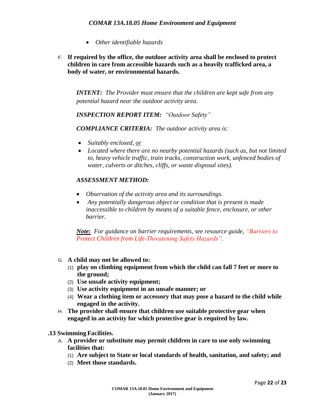- *Other identifiable hazards*
- F. **If required by the office, the outdoor activity area shall be enclosed to protect children in care from accessible hazards such as a heavily trafficked area, a body of water, or environmental hazards.**

*INTENT: The Provider must ensure that the children are kept safe from any potential hazard near the outdoor activity area.*

*INSPECTION REPORT ITEM: "Outdoor Safety"*

*COMPLIANCE CRITERIA: The outdoor activity area is:*

- *Suitably enclosed, or*
- *Located where there are no nearby potential hazards (such as, but not limited to, heavy vehicle traffic, train tracks, construction work, unfenced bodies of water, culverts or ditches, cliffs, or waste disposal sites).*

#### *ASSESSMENT METHOD:*

- *Observation of the activity area and its surroundings.*
- *Any potentially dangerous object or condition that is present is made inaccessible to children by means of a suitable fence, enclosure, or other barrier.*

*Note: For guidance on barrier requirements, see resource guide, "Barriers to Protect Children from Life-Threatening Safety Hazards".*

- G. **A child may not be allowed to:**
	- (1) **play on climbing equipment from which the child can fall 7 feet or more to the ground;**
	- (2) **Use unsafe activity equipment;**
	- (3) **Use activity equipment in an unsafe manner; or**
	- (4) **Wear a clothing item or accessory that may pose a hazard to the child while engaged in the activity.**
- H. **The provider shall ensure that children use suitable protective gear when engaged in an activity for which protective gear is required by law.**

**.13 Swimming Facilities.**

- A. **A provider or substitute may permit children in care to use only swimming facilities that:**
	- (1) **Are subject to State or local standards of health, sanitation, and safety; and**
	- (2) **Meet those standards.**